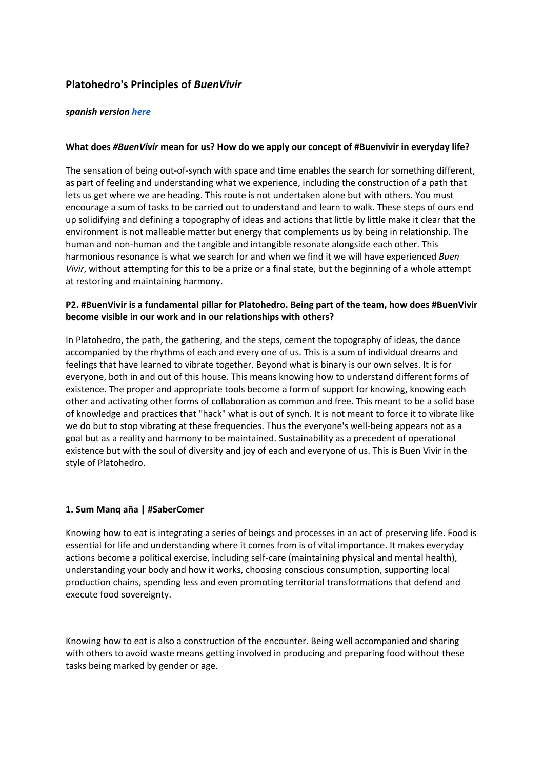# **Platohedro's Principles of** *BuenVivir*

# *spanish version [here](https://docs.google.com/document/d/1dNUv7VFR2ZaTyWqAhO3GROQf9l8-VXt4AFw9SryAuYY/edit?usp=sharing)*

# **What does** *#BuenVivir* **mean for us? How do we apply our concept of #Buenvivir in everyday life?**

The sensation of being out-of-synch with space and time enables the search for something different, as part of feeling and understanding what we experience, including the construction of a path that lets us get where we are heading. This route is not undertaken alone but with others. You must encourage a sum of tasks to be carried out to understand and learn to walk. These steps of ours end up solidifying and defining a topography of ideas and actions that little by little make it clear that the environment is not malleable matter but energy that complements us by being in relationship. The human and non-human and the tangible and intangible resonate alongside each other. This harmonious resonance is what we search for and when we find it we will have experienced *Buen Vivir*, without attempting for this to be a prize or a final state, but the beginning of a whole attempt at restoring and maintaining harmony.

# **P2. #BuenVivir is a fundamental pillar for Platohedro. Being part of the team, how does #BuenVivir become visible in our work and in our relationships with others?**

In Platohedro, the path, the gathering, and the steps, cement the topography of ideas, the dance accompanied by the rhythms of each and every one of us. This is a sum of individual dreams and feelings that have learned to vibrate together. Beyond what is binary is our own selves. It is for everyone, both in and out of this house. This means knowing how to understand different forms of existence. The proper and appropriate tools become a form of support for knowing, knowing each other and activating other forms of collaboration as common and free. This meant to be a solid base of knowledge and practices that "hack" what is out of synch. It is not meant to force it to vibrate like we do but to stop vibrating at these frequencies. Thus the everyone's well-being appears not as a goal but as a reality and harmony to be maintained. Sustainability as a precedent of operational existence but with the soul of diversity and joy of each and everyone of us. This is Buen Vivir in the style of Platohedro.

# **1. Sum Manq aña | #SaberComer**

Knowing how to eat is integrating a series of beings and processes in an act of preserving life. Food is essential for life and understanding where it comes from is of vital importance. It makes everyday actions become a political exercise, including self-care (maintaining physical and mental health), understanding your body and how it works, choosing conscious consumption, supporting local production chains, spending less and even promoting territorial transformations that defend and execute food sovereignty.

Knowing how to eat is also a construction of the encounter. Being well accompanied and sharing with others to avoid waste means getting involved in producing and preparing food without these tasks being marked by gender or age.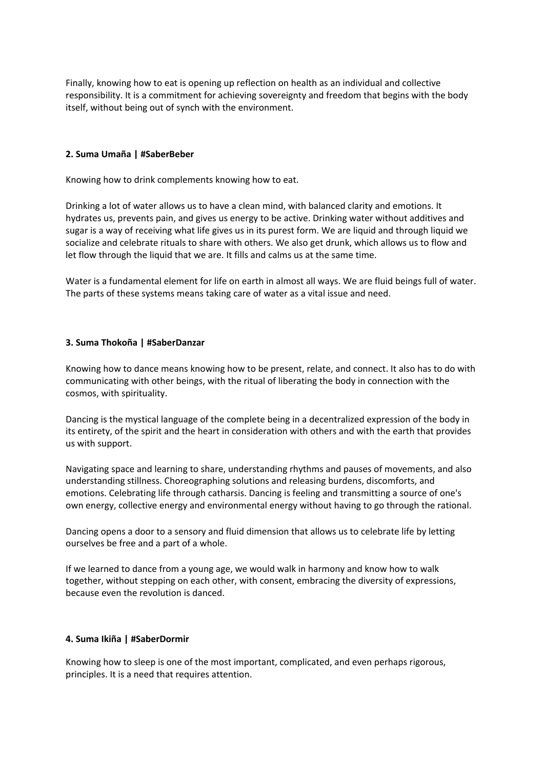Finally, knowing how to eat is opening up reflection on health as an individual and collective responsibility. It is a commitment for achieving sovereignty and freedom that begins with the body itself, without being out of synch with the environment.

# **2. Suma Umaña | #SaberBeber**

Knowing how to drink complements knowing how to eat.

Drinking a lot of water allows us to have a clean mind, with balanced clarity and emotions. It hydrates us, prevents pain, and gives us energy to be active. Drinking water without additives and sugar is a way of receiving what life gives us in its purest form. We are liquid and through liquid we socialize and celebrate rituals to share with others. We also get drunk, which allows us to flow and let flow through the liquid that we are. It fills and calms us at the same time.

Water is a fundamental element for life on earth in almost all ways. We are fluid beings full of water. The parts of these systems means taking care of water as a vital issue and need.

# **3. Suma Thokoña | #SaberDanzar**

Knowing how to dance means knowing how to be present, relate, and connect. It also has to do with communicating with other beings, with the ritual of liberating the body in connection with the cosmos, with spirituality.

Dancing is the mystical language of the complete being in a decentralized expression of the body in its entirety, of the spirit and the heart in consideration with others and with the earth that provides us with support.

Navigating space and learning to share, understanding rhythms and pauses of movements, and also understanding stillness. Choreographing solutions and releasing burdens, discomforts, and emotions. Celebrating life through catharsis. Dancing is feeling and transmitting a source of one's own energy, collective energy and environmental energy without having to go through the rational.

Dancing opens a door to a sensory and fluid dimension that allows us to celebrate life by letting ourselves be free and a part of a whole.

If we learned to dance from a young age, we would walk in harmony and know how to walk together, without stepping on each other, with consent, embracing the diversity of expressions, because even the revolution is danced.

# **4. Suma Ikiña | #SaberDormir**

Knowing how to sleep is one of the most important, complicated, and even perhaps rigorous, principles. It is a need that requires attention.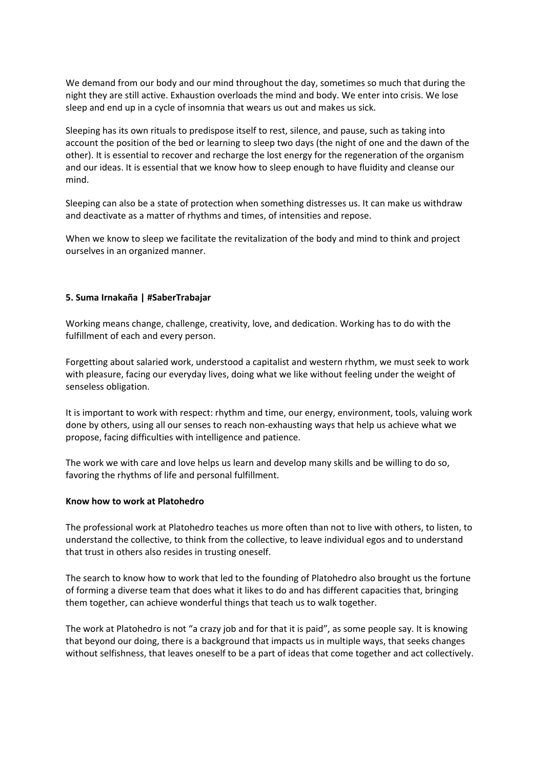We demand from our body and our mind throughout the day, sometimes so much that during the night they are still active. Exhaustion overloads the mind and body. We enter into crisis. We lose sleep and end up in a cycle of insomnia that wears us out and makes us sick.

Sleeping has its own rituals to predispose itself to rest, silence, and pause, such as taking into account the position of the bed or learning to sleep two days (the night of one and the dawn of the other). It is essential to recover and recharge the lost energy for the regeneration of the organism and our ideas. It is essential that we know how to sleep enough to have fluidity and cleanse our mind.

Sleeping can also be a state of protection when something distresses us. It can make us withdraw and deactivate as a matter of rhythms and times, of intensities and repose.

When we know to sleep we facilitate the revitalization of the body and mind to think and project ourselves in an organized manner.

# **5. Suma Irnakaña | #SaberTrabajar**

Working means change, challenge, creativity, love, and dedication. Working has to do with the fulfillment of each and every person.

Forgetting about salaried work, understood a capitalist and western rhythm, we must seek to work with pleasure, facing our everyday lives, doing what we like without feeling under the weight of senseless obligation.

It is important to work with respect: rhythm and time, our energy, environment, tools, valuing work done by others, using all our senses to reach non-exhausting ways that help us achieve what we propose, facing difficulties with intelligence and patience.

The work we with care and love helps us learn and develop many skills and be willing to do so, favoring the rhythms of life and personal fulfillment.

#### **Know how to work at Platohedro**

The professional work at Platohedro teaches us more often than not to live with others, to listen, to understand the collective, to think from the collective, to leave individual egos and to understand that trust in others also resides in trusting oneself.

The search to know how to work that led to the founding of Platohedro also brought us the fortune of forming a diverse team that does what it likes to do and has different capacities that, bringing them together, can achieve wonderful things that teach us to walk together.

The work at Platohedro is not "a crazy job and for that it is paid", as some people say. It is knowing that beyond our doing, there is a background that impacts us in multiple ways, that seeks changes without selfishness, that leaves oneself to be a part of ideas that come together and act collectively.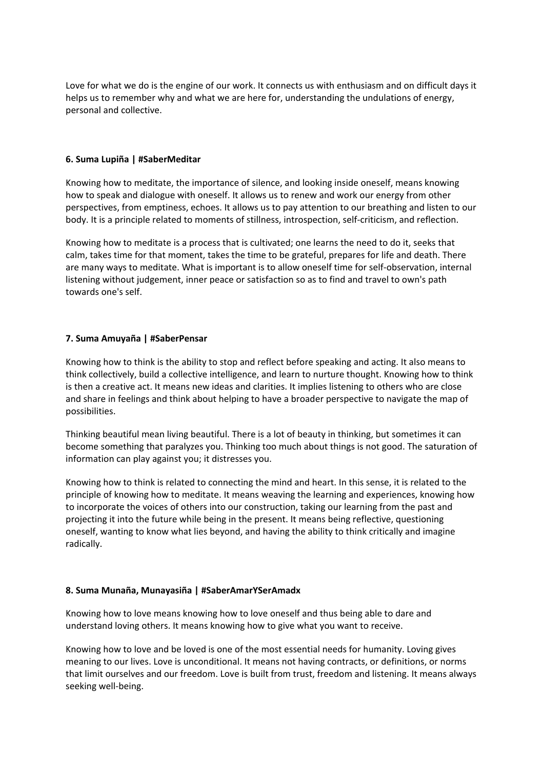Love for what we do is the engine of our work. It connects us with enthusiasm and on difficult days it helps us to remember why and what we are here for, understanding the undulations of energy, personal and collective.

# **6. Suma Lupiña | #SaberMeditar**

Knowing how to meditate, the importance of silence, and looking inside oneself, means knowing how to speak and dialogue with oneself. It allows us to renew and work our energy from other perspectives, from emptiness, echoes. It allows us to pay attention to our breathing and listen to our body. It is a principle related to moments of stillness, introspection, self-criticism, and reflection.

Knowing how to meditate is a process that is cultivated; one learns the need to do it, seeks that calm, takes time for that moment, takes the time to be grateful, prepares for life and death. There are many ways to meditate. What is important is to allow oneself time for self-observation, internal listening without judgement, inner peace or satisfaction so as to find and travel to own's path towards one's self.

# **7. Suma Amuyaña | #SaberPensar**

Knowing how to think is the ability to stop and reflect before speaking and acting. It also means to think collectively, build a collective intelligence, and learn to nurture thought. Knowing how to think is then a creative act. It means new ideas and clarities. It implies listening to others who are close and share in feelings and think about helping to have a broader perspective to navigate the map of possibilities.

Thinking beautiful mean living beautiful. There is a lot of beauty in thinking, but sometimes it can become something that paralyzes you. Thinking too much about things is not good. The saturation of information can play against you; it distresses you.

Knowing how to think is related to connecting the mind and heart. In this sense, it is related to the principle of knowing how to meditate. It means weaving the learning and experiences, knowing how to incorporate the voices of others into our construction, taking our learning from the past and projecting it into the future while being in the present. It means being reflective, questioning oneself, wanting to know what lies beyond, and having the ability to think critically and imagine radically.

# **8. Suma Munaña, Munayasiña | #SaberAmarYSerAmadx**

Knowing how to love means knowing how to love oneself and thus being able to dare and understand loving others. It means knowing how to give what you want to receive.

Knowing how to love and be loved is one of the most essential needs for humanity. Loving gives meaning to our lives. Love is unconditional. It means not having contracts, or definitions, or norms that limit ourselves and our freedom. Love is built from trust, freedom and listening. It means always seeking well-being.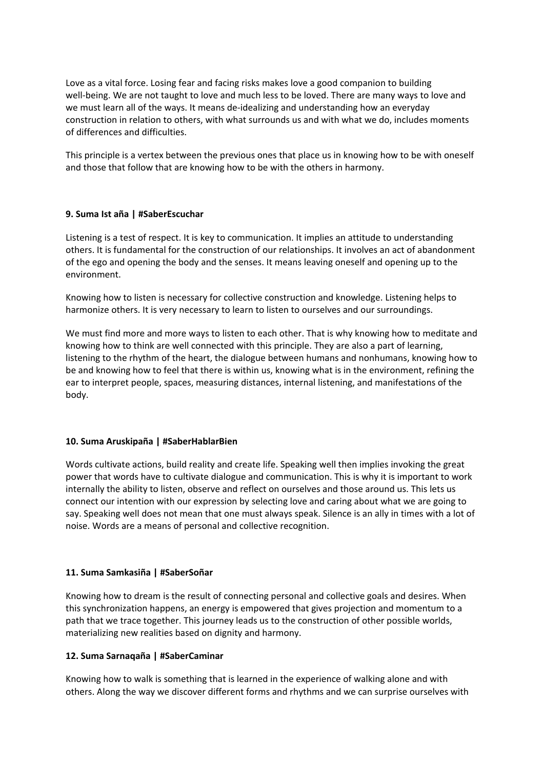Love as a vital force. Losing fear and facing risks makes love a good companion to building well-being. We are not taught to love and much less to be loved. There are many ways to love and we must learn all of the ways. It means de-idealizing and understanding how an everyday construction in relation to others, with what surrounds us and with what we do, includes moments of differences and difficulties.

This principle is a vertex between the previous ones that place us in knowing how to be with oneself and those that follow that are knowing how to be with the others in harmony.

# **9. Suma Ist aña | #SaberEscuchar**

Listening is a test of respect. It is key to communication. It implies an attitude to understanding others. It is fundamental for the construction of our relationships. It involves an act of abandonment of the ego and opening the body and the senses. It means leaving oneself and opening up to the environment.

Knowing how to listen is necessary for collective construction and knowledge. Listening helps to harmonize others. It is very necessary to learn to listen to ourselves and our surroundings.

We must find more and more ways to listen to each other. That is why knowing how to meditate and knowing how to think are well connected with this principle. They are also a part of learning, listening to the rhythm of the heart, the dialogue between humans and nonhumans, knowing how to be and knowing how to feel that there is within us, knowing what is in the environment, refining the ear to interpret people, spaces, measuring distances, internal listening, and manifestations of the body.

# **10. Suma Aruskipaña | #SaberHablarBien**

Words cultivate actions, build reality and create life. Speaking well then implies invoking the great power that words have to cultivate dialogue and communication. This is why it is important to work internally the ability to listen, observe and reflect on ourselves and those around us. This lets us connect our intention with our expression by selecting love and caring about what we are going to say. Speaking well does not mean that one must always speak. Silence is an ally in times with a lot of noise. Words are a means of personal and collective recognition.

# **11. Suma Samkasiña | #SaberSoñar**

Knowing how to dream is the result of connecting personal and collective goals and desires. When this synchronization happens, an energy is empowered that gives projection and momentum to a path that we trace together. This journey leads us to the construction of other possible worlds, materializing new realities based on dignity and harmony.

# **12. Suma Sarnaqaña | #SaberCaminar**

Knowing how to walk is something that is learned in the experience of walking alone and with others. Along the way we discover different forms and rhythms and we can surprise ourselves with